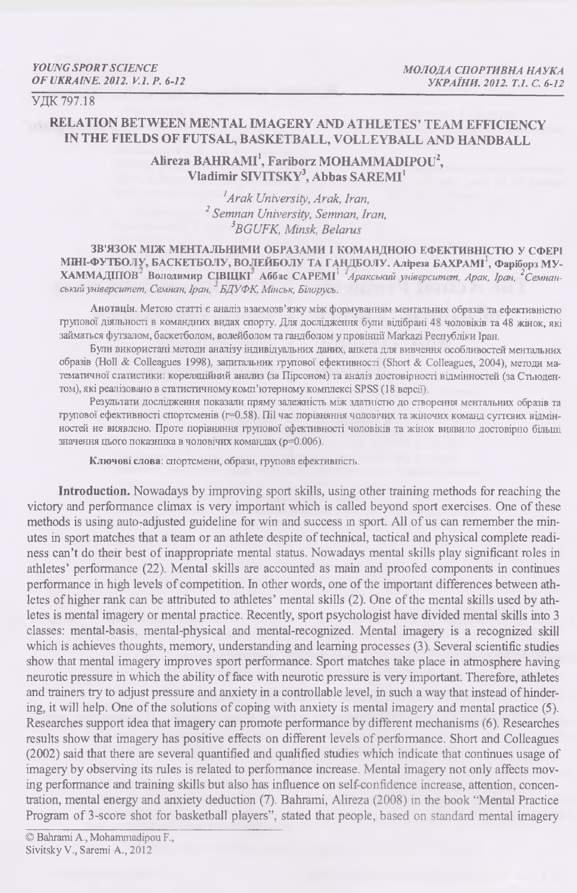УДК 797.18

# **RELATION BETWEEN MENTAL IMAGERY AND ATHLETES' TEAM EFFICIENCY IN THE FIELDS OF FUTSAL, BASKETBALL, VOLLEYBALL AND HANDBALL**

**Alireza BAHRAMI1,** Fairiborz **MOHAMMADIPOU2,** Vladimir SIVITSKY<sup>3</sup>, Abbas SAREMI<sup>1</sup>

> *!A rak University, Arak, Iran, 2 Semnan University, Semnan, Iran, 3BGUFK, Minsk, Belarvs*

**ЗВ'ЯЗОК МІЖ МЕНТАЛЬНИМИ ОБРАЗАМИ І КОМАНДНОЮ ЕФЕКТИВНІСТЮ У СФЕРІ** МІНІ-ФУТБОЛУ, БАСКЕТБОЛУ, ВОЛЕЙБОЛУ ТА ГАНДБОЛУ. Аліреза БАХРАМІ<sup>1</sup>, Фаріборз МУ-**ХАММАДІПОВ' Володимир СІВЩКГ Аббас САРЕМІ1** *Аракський університет, Арак, Іран, 2Семнанський університет, Семнан, Іран, БДУФК, Мінськ, Білорусь.*

**Анотація.** Метою статті є аналіз взаємозв'язку між формуванням ментальних образів та ефективністю групової діяльності в командних видах спорту. Для дослідження були відібрані 48 чоловіків та 48 жінок, які займаться футзалом, баскетболом, волейболом та гандболом у провінції Markazi Республіки Іран.

Були використані методи аналізу індивідуальних даних, анкета для вивчення особливостей ментальних образів (Ноіі & Colleagues 1998), запитальник групової ефективності (Short & Colleagues, 2004), методи математичної статистики: кореляційний анализ (за Пірсоном) та аналіз достовірності відмінностей (за Стьюдентом), які реалізовано в статистичному комп'ютерному комплексі SPSS (18 версії).

Результати дослідження показали пряму залежність між здатністю до створення ментальних образів та групової ефективності спортсменів (r=0.58). ПіІ час порівняння чоловічих та жіночих команд суттєвих відмінностей не виявлено. Проте порівняння групової ефективності чоловіків та жінок виявило достовірно більші значення цього показника в чоловічих командах (р=0.006).

**Ключові слова:** спортсмени, образи, групова ефективність.

**Introduction.** Nowadays by improving sport skills, using other training methods for reaching the victory and performance climax is very important which is called beyond sport exercises. One of these methods is using auto-adjusted guideline for win and success in sport. All of us can remember the minutes in sport matches that a team or an athlete despite of technical, tactical and physical complete readiness can't do their best of inappropriate mental status. Nowadays mental skills play significant roles in athletes' performance (22). Mental skills are accounted as main and proofed components in continues performance in high levels of competition. In other words, one of the important differences between athletes of higher rank can be attributed to athletes' mental skills (2). One of the mental skills used by athletes is mental imagery or mental practice. Recently, sport psychologist have divided mental skills into 3 classes: mental-basis, mental-physical and mental-recognized. Mental imagery is a recognized skill which is achieves thoughts, memory, understanding and learning processes (3). Several scientific studies show that mental imagery improves sport performance. Sport matches take place in atmosphere having neurotic pressure in which the ability of face with neurotic pressure is very important. Therefore, athletes and trainers try to adjust pressure and anxiety in a controllable level, in such a way that instead of hindering, it will help. One of the solutions of coping with anxiety is mental imagery and mental practice (5). Researches support idea that imagery can promote performance by different mechanisms (6). Researches results show that imagery has positive effects on different levels of performance. Short and Colleagues (2002) said that there are several quantified and qualified studies which indicate that continues usage of imagery by observing its rules is related to performance increase. Mental imagery not only affects moving performance and training skills but also has influence on self-confidence increase, attention, concentration, mental energy and anxiety deduction (7). Bahrami, Alireza (2008) in the book "Mental Practice Program of З-score shot for basketball players", stated that people, based on standard mental imagery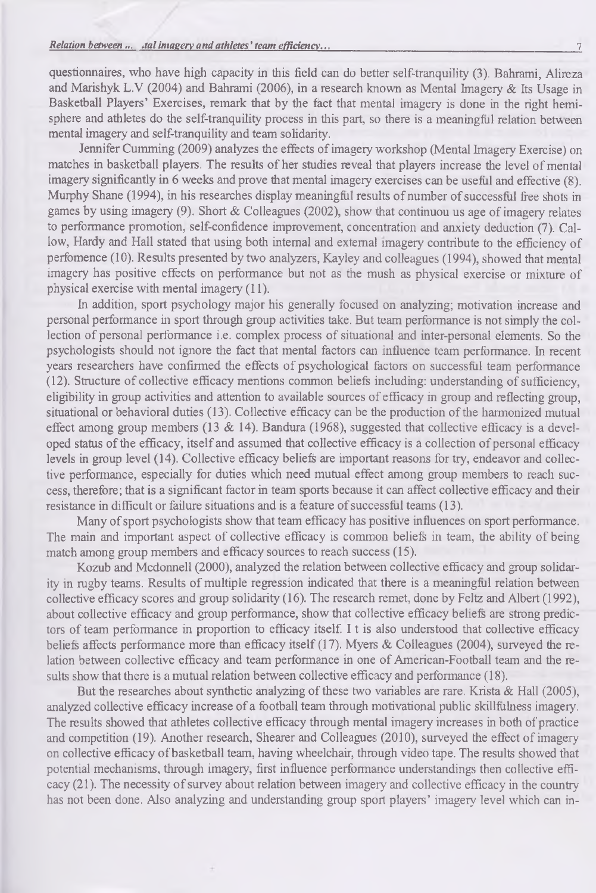#### *Relation between ... Jal imagery and athletes' team efficiency...* 7

questionnaires, who have high capacity in this field can do better self-tranquility (3). Bahrami, Alireza and Marishyk L.V (2004) and Bahrami (2006), in a research known as Mental Imagery & Its Usage in Basketball Players' Exercises, remark that by the fact that mental imagery is done in the right hemisphere and athletes do the self-tranquility process in this part, so there is a meaningful relation between mental imagery and self-tranquility and team solidarity.

Jennifer Cumming (2009) analyzes the effects of imagery workshop (Mental Imagery Exercise) on matches in basketball players. The results of her studies reveal that players increase the level of mental imagery significantly in 6 weeks and prove that mental imagery exercises can be useful and effective (8). Murphy Shane (1994), in his researches display meaningful results of number of successful free shots in games by using imagery (9). Short & Colleagues (2002), show that continuou us age of imagery relates to performance promotion, self-confidence improvement, concentration and anxiety deduction (7). Callow, Hardy and Hall stated that using both internal and external imagery contribute to the efficiency of perfomence (10). Results presented by two analyzers, Kayley and colleagues (1994), showed that mental imagery has positive effects on performance but not as the mush as physical exercise or mixture of physical exercise with mental imagery (11).

In addition, sport psychology major his generally focused on analyzing; motivation increase and personal performance in sport through group activities take. But team performance is not simply the collection of personal performance i.e. complex process of situational and inter-personal elements. So the psychologists should not ignore the fact that mental factors can influence team performance. In recent years researchers have confirmed the effects of psychological factors on successful team performance (12). Structure of collective efficacy mentions common beliefs including: understanding of sufficiency, eligibility in group activities and attention to available sources of efficacy in group and reflecting group, situational or behavioral duties (13). Collective efficacy can be the production of the harmonized mutual effect among group members (13 & 14). Bandura (1968), suggested that collective efficacy is a developed status of the efficacy, itself and assumed that collective efficacy is a collection of personal efficacy levels in group level (14). Collective efficacy beliefs are important reasons for try, endeavor and collective performance, especially for duties which need mutual effect among group members to reach success, therefore; that is a significant factor in team sports because it can affect collective efficacy and their resistance in difficult or failure situations and is a feature of successful teams (13).

Many of sport psychologists show that team efficacy has positive influences on sport performance. The main and important aspect of collective efficacy is common beliefs in team, the ability of being match among group members and efficacy sources to reach success (15).

Kozub and Mcdonnell (2000), analyzed the relation between collective efficacy and group solidarity in rugby teams. Results of multiple regression indicated that there is a meaningful relation between collective efficacy scores and group solidarity (16). The research remet, done by Feltz and Albert (1992), about collective efficacy and group performance, show that collective efficacy beliefs are strong predictors of team performance in proportion to efficacy itself. I t is also understood that collective efficacy beliefs affects performance more than efficacy itself (17). Myers & Colleagues (2004), surveyed the relation between collective efficacy and team performance in one of American-Football team and the results show that there is a mutual relation between collective efficacy and performance (18).

But the researches about synthetic analyzing of these two variables are rare. Krista & Hall (2005), analyzed collective efficacy increase of a football team through motivational public skillfulness imagery. The results showed that athletes collective efficacy through mental imagery increases in both of practice and competition (19). Another research, Shearer and Colleagues (2010), surveyed the effect of imagery on collective efficacy of basketball team, having wheelchair, through video tape. The results showed that potential mechanisms, through imagery, first influence performance understandings then collective efficacy (21). The necessity of survey about relation between imagery and collective efficacy in the country has not been done. Also analyzing and understanding group sport players' imagery level which can in-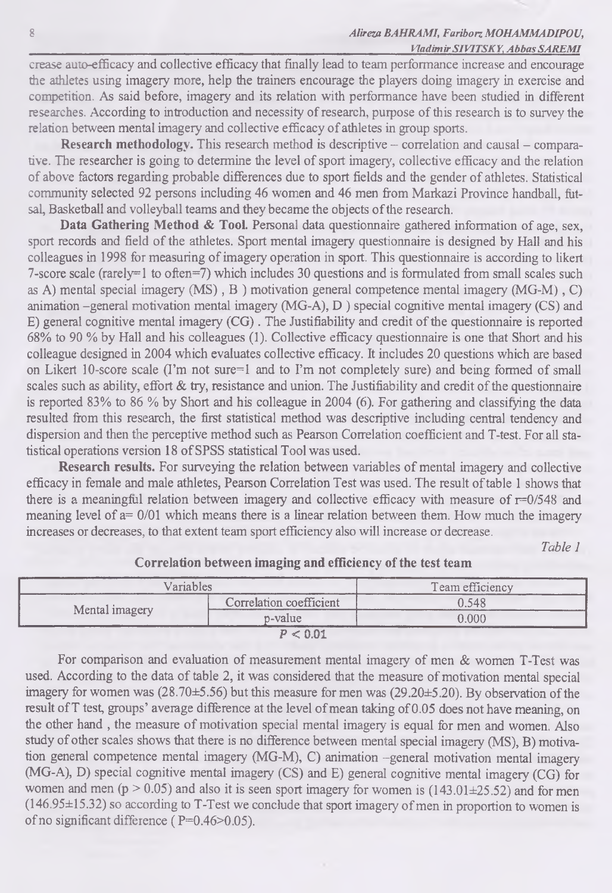#### 8 *Alireza BAHRAMI, Fariborz MOHAMMADIPOU,* **\_\_\_\_\_\_\_\_\_\_\_\_\_\_\_\_\_\_\_\_\_\_\_\_\_\_\_\_\_\_\_\_\_\_\_\_\_\_\_\_\_\_\_\_\_\_\_\_\_\_\_\_\_\_\_\_\_\_\_\_\_\_\_\_\_\_\_\_\_\_\_** *Vladimir SIVTTSKY, Abbas SAREM I*

crease auto-efficacy and collective efficacy that finally lead to team performance increase and encourage the athletes using imagery more, help the trainers encourage the players doing imagery in exercise and competition. As said before, imagery and its relation with performance have been studied in different researches. According to introduction and necessity of research, purpose of this research is to survey the relation between mental imagery and collective efficacy of athletes in group sports.

**Research methodology.** This research method is descriptive - correlation and causal - comparative. The researcher is going to determine the level of sport imagery, collective efficacy and the relation of above factors regarding probable differences due to sport fields and the gender of athletes. Statistical community selected 92 persons including 46 women and 46 men from Markazi Province handball, futsal, Basketball and volleyball teams and they became the objects of the research.

Data Gathering Method & Tool. Personal data questionnaire gathered information of age, sex, sport records and field of the athletes. Sport mental imagery questionnaire is designed by Hall and his colleagues in 1998 for measuring of imagery operation in sport. This questionnaire is according to likert 7-score scale (rarely=1 to often=7) which includes 30 questions and is formulated from small scales such as A) mental special imagery  $(MS)$ , B) motivation general competence mental imagery  $(MG-M)$ , C) animation -general motivation mental imagery (MG-A), D ) special cognitive mental imagery (CS) and E) general cognitive mental imagery  $(CG)$ . The Justifiability and credit of the questionnaire is reported 68% to 90 *%* by Hall and his colleagues (1). Collective efficacy questionnaire is one that Short and his colleague designed in 2004 which evaluates collective efficacy. It includes 20 questions which are based on Likert 10-score scale (I'm not sure=1 and to I'm not completely sure) and being formed of small scales such as ability, effort & try, resistance and union. The Justifiability and credit of the questionnaire is reported 83% to 86 *%* by Short and his colleague in 2004 (6). For gathering and classifying the data resulted from this research, the first statistical method was descriptive including central tendency and dispersion and then the perceptive method such as Pearson Correlation coefficient and T-test. For all statistical operations version 18 of SPSS statistical Tool was used.

**Research results.** For surveying the relation between variables of mental imagery and collective efficacy in female and male athletes, Pearson Correlation Test was used. The result of table 1 shows that there is a meaningful relation between imagery and collective efficacy with measure of r=0/548 and meaning level of  $a= 0/01$  which means there is a linear relation between them. How much the imagery increases or decreases, to that extent team sport efficiency also will increase or decrease.

*Table 1*

| Variables      |                         | Team efficiency<br><b>CONTRACTOR</b> |  |
|----------------|-------------------------|--------------------------------------|--|
| Mental imagery | Correlation coefficient | 0.548                                |  |
|                | p-value                 | 0.000                                |  |
|                | P < 0.01                |                                      |  |

## **Correlation between imaging and efficiency of the test team**

For comparison and evaluation of measurement mental imagery of men & women T-Test was used. According to the data of table 2, it was considered that the measure of motivation mental special imagery for women was (28.70±5.56) but this measure for men was (29.20±5.20). By observation of the result ofT test, groups' average difference at the level of mean taking of 0.05 does not have meaning, on the other hand , the measure of motivation special mental imagery is equal for men and women. AJso study of other scales shows that there is no difference between mental special imagery (MS), B) motivation general competence mental imagery (MG-M), C) animation -general motivation mental imagery (MG-A), D) special cognitive mental imagery (CS) and E) general cognitive mental imagery (CG) for women and men ( $p > 0.05$ ) and also it is seen sport imagery for women is (143.01 $\pm$ 25.52) and for men (146.95±15.32) so according to T-Test we conclude that sport imagery of men in proportion to women is of no significant difference ( $P=0.46>0.05$ ).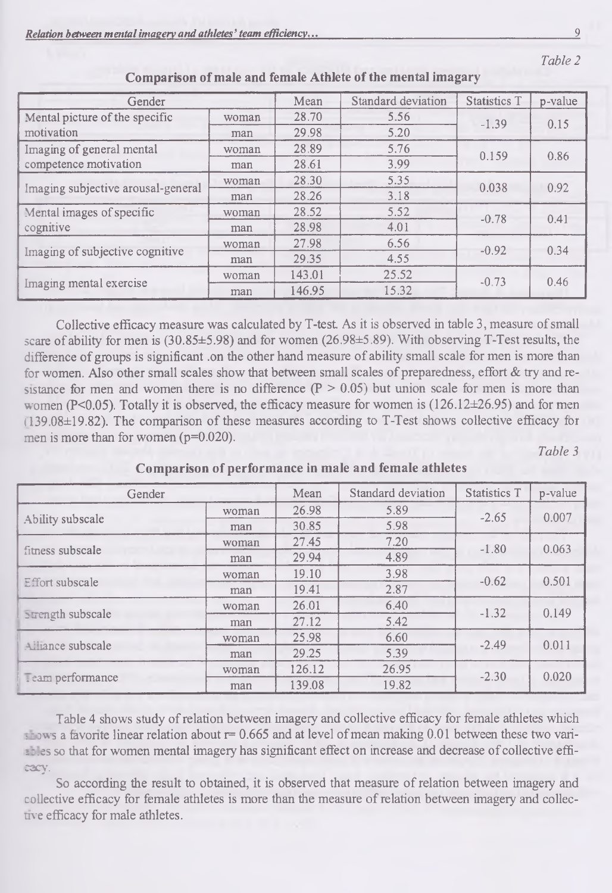| Gender                             |       | Mean   | Standard deviation | <b>Statistics T</b> | p-value |
|------------------------------------|-------|--------|--------------------|---------------------|---------|
| Mental picture of the specific     | woman | 28.70  | 5.56               | $-1.39$             | 0.15    |
| motivation                         | man   | 29.98  | 5.20               |                     |         |
| Imaging of general mental          | woman | 28.89  | 5.76               | 0.159               | 0.86    |
| competence motivation              | man   | 28.61  | 3.99               |                     |         |
|                                    | woman | 28.30  | 5.35               | 0.038               | 0.92    |
| Imaging subjective arousal-general | man   | 28.26  | 3.18               |                     |         |
| Mental images of specific          | woman | 28.52  | 5.52               | $-0.78$             | 0.41    |
| cognitive                          | man   | 28.98  | 4.01               |                     |         |
|                                    | woman | 27.98  | 6.56               | $-0.92$             | 0.34    |
| Imaging of subjective cognitive    | man   | 29.35  | 4.55               |                     |         |
|                                    | woman | 143.01 | 25.52              | $-0.73$             | 0.46    |
| Imaging mental exercise            | man   | 146.95 | 15.32              |                     |         |

**Compa rison of male and female Athlete of the mental imagary**

Collective efficacy measure was calculated by T-test As it is observed in table 3, measure of small scare of ability for men is (30.85±5.98) and for women (26.98±5.89). With observing T-Test results, the difference of groups is significant .on the other hand measure of ability small scale for men is more than for women. Also other small scales show that between small scales of preparedness, effort & try and resistance for men and women there is no difference  $(P > 0.05)$  but union scale for men is more than women (P<0.05). Totally it is observed, the efficacy measure for women is (126.12±26.95) and for men (139.08±19.82). The comparison of these measures according to T-Test shows collective efficacy for men is more than for women (p=0.020).

*Table 3*

| Gender                 |       | Mean   | Standard deviation      | <b>Statistics T</b> | p-value |
|------------------------|-------|--------|-------------------------|---------------------|---------|
| Ability subscale       | woman | 26.98  | 5.89                    | $-2.65$             | 0.007   |
|                        | man   | 30.85  | 5.98                    |                     |         |
| fitness subscale       | woman | 27.45  | 7.20<br>$-1.80$<br>4.89 |                     | 0.063   |
|                        | man   | 29.94  |                         |                     |         |
| <b>Effort subscale</b> | woman | 19.10  | 3.98                    | $-0.62$             | 0.501   |
|                        | man   | 19.41  | 2.87                    |                     |         |
| Strength subscale      | woman | 26.01  | 6.40                    | $-1.32$             | 0.149   |
|                        | man   | 27.12  | 5.42                    |                     |         |
| Alliance subscale      | woman | 25.98  | 6.60                    | $-2.49$             | 0.011   |
|                        | man   | 29.25  | 5.39                    |                     |         |
| Team performance       | woman | 126.12 | 26.95                   | $-2.30$             | 0.020   |
|                        | man   | 139.08 | 19.82                   |                     |         |

**Comparison of performance in male and female athletes**

Table 4 shows study of relation between imagery and collective efficacy for female athletes which  $\frac{1}{2}$  is a favorite linear relation about  $r= 0.665$  and at level of mean making 0.01 between these two variables so that for women mental imagery has significant effect on increase and decrease of collective efficacy.

So according the result to obtained, it is observed that measure of relation between imagery and collective efficacy for female athletes is more than the measure of relation between imagery and collective efficacy for male athletes.

*Table 2*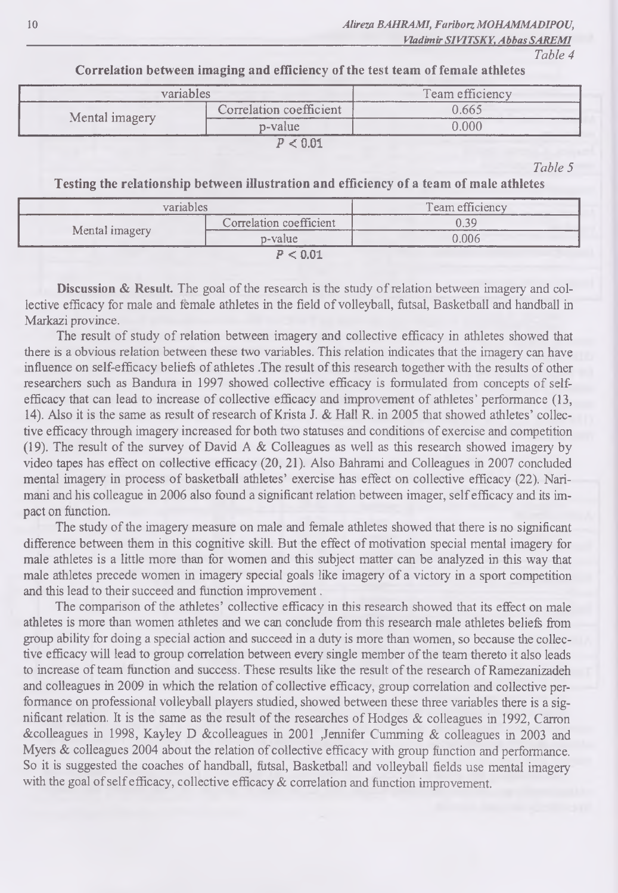**\_\_\_\_\_\_\_\_\_\_\_\_***Vladimir SIVITSKY, Abbas SAREM I*

## *Table 4*

**Correlation between imaging and efficiency of the test team of female athletes**

|                | variables               |       |
|----------------|-------------------------|-------|
|                | Correlation coefficient | N 665 |
| Mental imagery | p-value                 | ን በበበ |
|                |                         |       |

*Table 5*

**Testing the relationship between illustration and efficiency of a team of male athletes**

| variables      |                         | Team efficiency |
|----------------|-------------------------|-----------------|
|                | Correlation coefficient | በ 30            |
| Mental imagery | p-value                 | 0.006           |
|                | P < 0.01                |                 |

**Discussion & Result.** The goal of the research is the study of relation between imagery and collective efficacy for male and female athletes in the field of volleyball, futsal, Basketball and handball in Markazi province.

The result of study of relation between imagery and collective efficacy in athletes showed that there is a obvious relation between these two variables. This relation indicates that the imagery can have influence on self-efficacy beliefs of athletes .The result of this research together with the results of other researchers such as Bandura in 1997 showed collective efficacy is formulated from concepts of selfefficacy that can lead to increase of collective efficacy and improvement of athletes' performance (13, 14). Also it is the same as result of research of Krista J. & Hall R. in 2005 that showed athletes' collective efficacy through imagery increased for both two statuses and conditions of exercise and competition (19). The result of the survey of David A & Colleagues as well as this research showed imagery by video tapes has effect on collective efficacy (20, 21). Also Bahrami and Colleagues in 2007 concluded mental imagery in process of basketball athletes' exercise has effect on collective efficacy (22). Narimani and his colleague in 2006 also found a significant relation between imager, self efficacy and its impact on function.

The study of the imagery measure on male and female athletes showed that there is no significant difference between them in this cognitive skill. But the effect of motivation special mental imagery for male athletes is a little more than for women and this subject matter can be analyzed in this way that male athletes precede women in imagery special goals like imagery of a victory in a sport competition and this lead to their succeed and function improvement.

The comparison of the athletes' collective efficacy in this research showed that its effect on male athletes is more than women athletes and we can conclude from this research male athletes beliefs from group ability for doing a special action and succeed in a duty is more than women, so because the collective efficacy will lead to group correlation between every single member of the team thereto it also leads to increase of team function and success. These results like the result of the research of Ramezanizadeh and colleagues in 2009 in which the relation of collective efficacy, group correlation and collective performance on professional volleyball players studied, showed between these three variables there is a significant relation. It is the same as the result of the researches of Hodges & colleagues in 1992, Carron &colleagues in 1998, Kayley D &colleagues in 2001 Jennifer Gumming & colleagues in 2003 and Myers & colleagues 2004 about the relation of collective efficacy with group function and performance. So it is suggested the coaches of handball, futsal, Basketball and volleyball fields use mental imagery with the goal of self efficacy, collective efficacy & correlation and function improvement.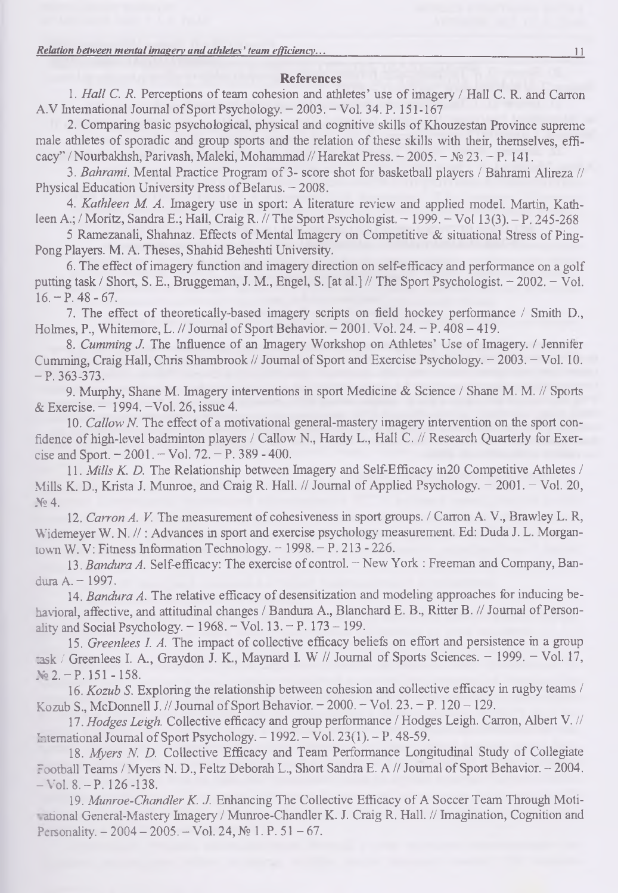### References

1. *Hall C. R.* Perceptions of team cohesion and athletes' use of imagery / Hall C. R. and Carron A.V International Journal of Sport Psychology. - 2003. - Vol. 34. P. 151-167

2. Comparing basic psychological, physical and cognitive skills of Khouzestan Province supreme male athletes of sporadic and group sports and the relation of these skills with their, themselves, efficacy" / Nourbakhsh, Parivash, Maleki, Mohammad // Harekat Press. - 2005. - № 23. - P. 141.

3. *Bahrami.* Mental Practice Program of 3- score shot for basketball players / Bahrami Alireza // Physical Education University Press of Belarus. - 2008.

4. *Kathleen M. A.* Imagery use in sport: A literature review and applied model. Martin, Kathleen A.; / Moritz, Sandra E.; Hall, Craig R. // The Sport Psychologist.  $-1999$ .  $-\text{Vol}(13(3), -P, 245-268)$ 

5 Ramezanali, Shahnaz. Effects of Mental Imagery on Competitive & situational Stress of Ping-Pong Players. M. A. Theses, Shahid Beheshti University.

6. The effect of imagery function and imagery direction on self-efficacy and performance on a golf putting task / Short, S. E., Bruggeman, J. M., Engel, S. [at al.] // The Sport Psychologist. - 2002. - Vol.  $16. - P.48 - 67.$ 

7. The effect of theoretically-based imagery scripts on field hockey performance / Smith I)., Holmes, P., Whitemore, L. // Journal of Sport Behavior. - 2001. Vol. 24. - P. 408 - 419.

8. *Cumming J.* The Influence of an Imagery Workshop on Athletes' Use of Imagery. / Jennifer Cumming, Craig Hall, Chris Shambrook // Journal of Sport and Exercise Psychology. - 2003. - Vol. 10.  $-$  P. 363-373.

9. Murphy, Shane M. Imagery interventions in sport Medicine & Science / Shane M. M. // Sports & Exercise. - 1994.-Vol. 26, issue 4.

10. *Callow N.* The effect of a motivational general-mastery' imagery intervention on the sport confidence of high-level badminton players / Callow N., Hardy L., Hall C. // Research Quarterly for Exercise and Sport.  $-2001$ .  $-$  Vol. 72.  $-$  P. 389 - 400.

11. *Mills K. D.* The Relationship between Imagery and Self-Efficacy in 20 Competitive Athletes / Mills K. D., Krista J. Munroe, and Craig R. Hall. // Journal of Applied Psychology. - 2001. - Vol. 20,  $Ne 4$ .

12. *Carron A. V.* The measurement of cohesiveness in sport groups. / Carron A. V., Brawley L. R, Widemeyer W. N. //: Advances in sport and exercise psychology measurement. Ed: Duda J. L. Morgantown W. V: Fitness Information Technology. - 1998. - P. 213 - 226.

13. *Bandura A.* Self-efficacy: The exercise of control. - New York : Freeman and Company, Bandura A. - 1997.

14. *Bandura A.* The relative efficacy of desensitization and modeling approaches for inducing behavioral, affective, and attitudinal changes / Bandura A., Blanchard E. B., Ritter B. // Journal of Personality and Social Psychology.  $-1968$ .  $-$  Vol. 13.  $-$  P. 173  $-199$ .

15. *Greenlees I. A.* The impact of collective efficacy beliefs on effort and persistence in a group risk / Greenlees I. A., Graydon J. K., Maynard I. W // Journal of Sports Sciences. - 1999. - Vol. 17, No  $2 - P$ . 151 - 158.

16. *Kozub S.* Exploring the relationship between cohesion and collective efficacy in rugby teams / Kozub S., McDonnell J. // Journal of Sport Behavior.  $-2000. -$  Vol. 23.  $-$  P. 120  $-$  129.

17. *Hodges Leigh*. Collective efficacy and group performance / Hodges Leigh. Carron, Albert V. // International Journal of Sport Psychology. - 1992. - Vol. 23(1). - P. 48-59.

18. *Myers N. D.* Collective Efficacy and Team Performance Longitudinal Study of Collegiate Football Teams / Myers N. D., Feltz Deborah L., Short Sandra E. A // Journal of Sport Behavior. - 2004.  $-$  Vol. 8.  $-$  P. 126 -138.

19. *Munroe-Chandler K. J.* Enhancing The Collective Efficacy of A Soccer Team Through Motiarional General-Mastery Imagery / Munroe-Chandler K. J. Craig R. Hall. // Imagination, Cognition and Personality.  $-2004 - 2005$ .  $-$  Vol. 24,  $\mathcal{N}$  1. P. 51 - 67.